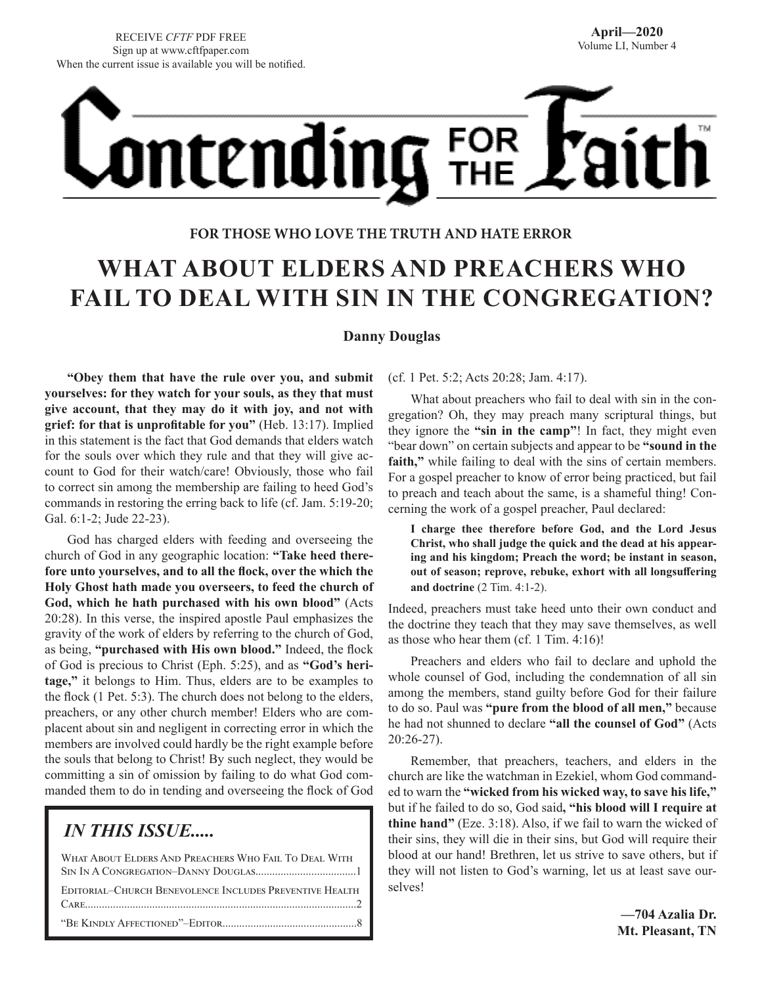# Ontending FOR

## **FOR THOSE WHO LOVE THE TRUTH AND HATE ERROR**

# **WHAT ABOUT ELDERS AND PREACHERS WHO FAIL TO DEAL WITH SIN IN THE CONGREGATION?**

#### **Danny Douglas**

**"Obey them that have the rule over you, and submit yourselves: for they watch for your souls, as they that must give account, that they may do it with joy, and not with grief: for that is unprofitable for you"** (Heb. 13:17). Implied in this statement is the fact that God demands that elders watch for the souls over which they rule and that they will give account to God for their watch/care! Obviously, those who fail to correct sin among the membership are failing to heed God's commands in restoring the erring back to life (cf. Jam. 5:19-20; Gal. 6:1-2; Jude 22-23).

God has charged elders with feeding and overseeing the church of God in any geographic location: **"Take heed therefore unto yourselves, and to all the flock, over the which the Holy Ghost hath made you overseers, to feed the church of God, which he hath purchased with his own blood"** (Acts 20:28). In this verse, the inspired apostle Paul emphasizes the gravity of the work of elders by referring to the church of God, as being, **"purchased with His own blood."** Indeed, the flock of God is precious to Christ (Eph. 5:25), and as **"God's heritage,"** it belongs to Him. Thus, elders are to be examples to the flock (1 Pet. 5:3). The church does not belong to the elders, preachers, or any other church member! Elders who are complacent about sin and negligent in correcting error in which the members are involved could hardly be the right example before the souls that belong to Christ! By such neglect, they would be committing a sin of omission by failing to do what God commanded them to do in tending and overseeing the flock of God

# *IN THIS ISSUE.....*

| WHAT ABOUT ELDERS AND PREACHERS WHO FAIL TO DEAL WITH   |
|---------------------------------------------------------|
|                                                         |
| EDITORIAL-CHURCH BENEVOLENCE INCLUDES PREVENTIVE HEALTH |
|                                                         |

(cf. 1 Pet. 5:2; Acts 20:28; Jam. 4:17).

What about preachers who fail to deal with sin in the congregation? Oh, they may preach many scriptural things, but they ignore the **"sin in the camp"**! In fact, they might even "bear down" on certain subjects and appear to be **"sound in the faith,"** while failing to deal with the sins of certain members. For a gospel preacher to know of error being practiced, but fail to preach and teach about the same, is a shameful thing! Concerning the work of a gospel preacher, Paul declared:

**I charge thee therefore before God, and the Lord Jesus Christ, who shall judge the quick and the dead at his appearing and his kingdom; Preach the word; be instant in season, out of season; reprove, rebuke, exhort with all longsuffering and doctrine** (2 Tim. 4:1-2).

Indeed, preachers must take heed unto their own conduct and the doctrine they teach that they may save themselves, as well as those who hear them (cf. 1 Tim. 4:16)!

Preachers and elders who fail to declare and uphold the whole counsel of God, including the condemnation of all sin among the members, stand guilty before God for their failure to do so. Paul was **"pure from the blood of all men,"** because he had not shunned to declare **"all the counsel of God"** (Acts 20:26-27).

Remember, that preachers, teachers, and elders in the church are like the watchman in Ezekiel, whom God commanded to warn the **"wicked from his wicked way, to save his life,"**  but if he failed to do so, God said**, "his blood will I require at thine hand"** (Eze. 3:18). Also, if we fail to warn the wicked of their sins, they will die in their sins, but God will require their blood at our hand! Brethren, let us strive to save others, but if they will not listen to God's warning, let us at least save ourselves!

> **—704 Azalia Dr. Mt. Pleasant, TN**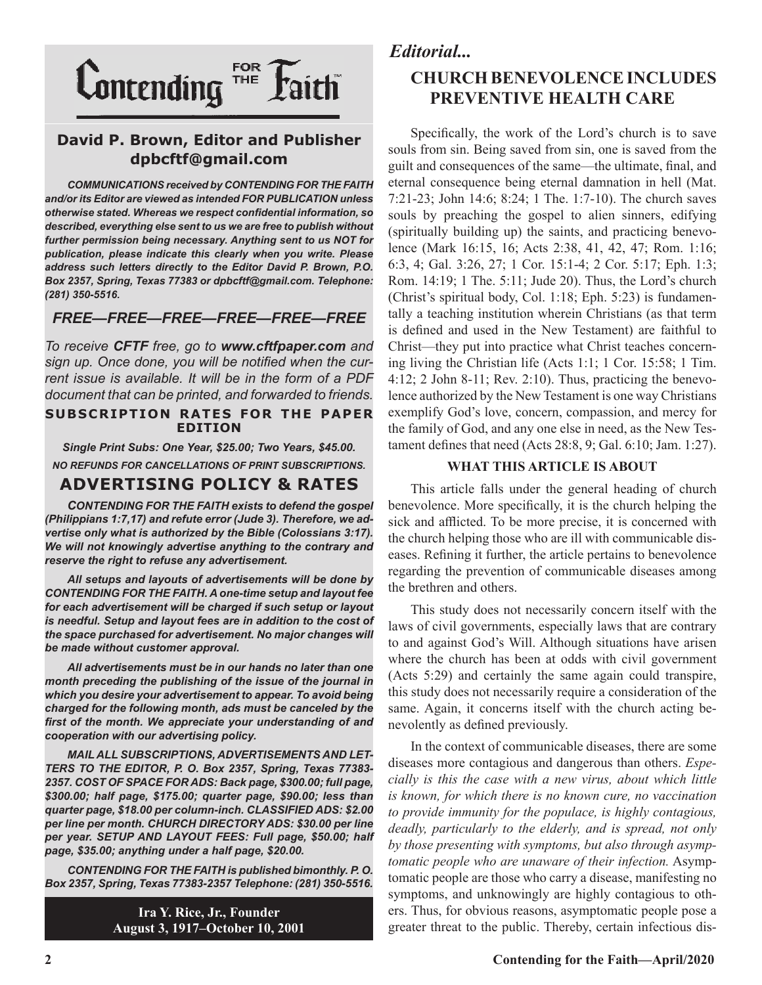

## **David P. Brown, Editor and Publisher dpbcftf@gmail.com**

*COMMUNICATIONS received by CONTENDING FOR THE FAITH and/or its Editor are viewed as intended FOR PUBLICATION unless otherwise stated. Whereas we respect confidential information, so described, everything else sent to us we are free to publish without further permission being necessary. Anything sent to us NOT for publication, please indicate this clearly when you write. Please address such letters directly to the Editor David P. Brown, P.O. Box 2357, Spring, Texas 77383 or dpbcftf@gmail.com. Telephone: (281) 350-5516.*

#### *FREE—FREE—FREE—FREE—FREE—FREE*

*To receive CFTF free, go to www.cftfpaper.com and sign up. Once done, you will be notified when the current issue is available. It will be in the form of a PDF document that can be printed, and forwarded to friends.*

#### **SUBSCRIPTION RATES FOR THE PAPER EDITION**

*Single Print Subs: One Year, \$25.00; Two Years, \$45.00. NO REFUNDS FOR CANCELLATIONS OF PRINT SUBSCRIPTIONS.*

## **ADVERTISING POLICY & RATES**

*CONTENDING FOR THE FAITH exists to defend the gospel (Philippians 1:7,17) and refute error (Jude 3). Therefore, we advertise only what is authorized by the Bible (Colossians 3:17). We will not knowingly advertise anything to the contrary and reserve the right to refuse any advertisement.*

*All setups and layouts of advertisements will be done by CONTENDING FOR THE FAITH. A one-time setup and layout fee for each advertisement will be charged if such setup or layout*  is needful. Setup and layout fees are in addition to the cost of *the space purchased for advertisement. No major changes will be made without customer approval.*

*All advertisements must be in our hands no later than one month preceding the publishing of the issue of the journal in which you desire your advertisement to appear. To avoid being charged for the following month, ads must be canceled by the first of the month. We appreciate your understanding of and cooperation with our advertising policy.*

*MAIL ALL SUBSCRIPTIONS, ADVERTISEMENTS AND LET-TERS TO THE EDITOR, P. O. Box 2357, Spring, Texas 77383- 2357. COST OF SPACE FOR ADS: Back page, \$300.00; full page, \$300.00; half page, \$175.00; quarter page, \$90.00; less than quarter page, \$18.00 per column-inch. CLASSIFIED ADS: \$2.00 per line per month. CHURCH DIRECTORY ADS: \$30.00 per line per year. SETUP AND LAYOUT FEES: Full page, \$50.00; half page, \$35.00; anything under a half page, \$20.00.*

*CONTENDING FOR THE FAITH is published bimonthly. P. O. Box 2357, Spring, Texas 77383-2357 Telephone: (281) 350-5516.*

> **Ira Y. Rice, Jr., Founder August 3, 1917–October 10, 2001**

# *Editorial...*

# **CHURCH BENEVOLENCE INCLUDES PREVENTIVE HEALTH CARE**

Specifically, the work of the Lord's church is to save souls from sin. Being saved from sin, one is saved from the guilt and consequences of the same—the ultimate, final, and eternal consequence being eternal damnation in hell (Mat. 7:21-23; John 14:6; 8:24; 1 The. 1:7-10). The church saves souls by preaching the gospel to alien sinners, edifying (spiritually building up) the saints, and practicing benevolence (Mark 16:15, 16; Acts 2:38, 41, 42, 47; Rom. 1:16; 6:3, 4; Gal. 3:26, 27; 1 Cor. 15:1-4; 2 Cor. 5:17; Eph. 1:3; Rom. 14:19; 1 The. 5:11; Jude 20). Thus, the Lord's church (Christ's spiritual body, Col. 1:18; Eph. 5:23) is fundamentally a teaching institution wherein Christians (as that term is defined and used in the New Testament) are faithful to Christ—they put into practice what Christ teaches concerning living the Christian life (Acts 1:1; 1 Cor. 15:58; 1 Tim. 4:12; 2 John 8-11; Rev. 2:10). Thus, practicing the benevolence authorized by the New Testament is one way Christians exemplify God's love, concern, compassion, and mercy for the family of God, and any one else in need, as the New Testament defines that need (Acts 28:8, 9; Gal. 6:10; Jam. 1:27).

#### **WHAT THIS ARTICLE IS ABOUT**

This article falls under the general heading of church benevolence. More specifically, it is the church helping the sick and afflicted. To be more precise, it is concerned with the church helping those who are ill with communicable diseases. Refining it further, the article pertains to benevolence regarding the prevention of communicable diseases among the brethren and others.

This study does not necessarily concern itself with the laws of civil governments, especially laws that are contrary to and against God's Will. Although situations have arisen where the church has been at odds with civil government (Acts 5:29) and certainly the same again could transpire, this study does not necessarily require a consideration of the same. Again, it concerns itself with the church acting benevolently as defined previously.

In the context of communicable diseases, there are some diseases more contagious and dangerous than others. *Especially is this the case with a new virus, about which little is known, for which there is no known cure, no vaccination to provide immunity for the populace, is highly contagious, deadly, particularly to the elderly, and is spread, not only by those presenting with symptoms, but also through asymptomatic people who are unaware of their infection.* Asymptomatic people are those who carry a disease, manifesting no symptoms, and unknowingly are highly contagious to others. Thus, for obvious reasons, asymptomatic people pose a greater threat to the public. Thereby, certain infectious dis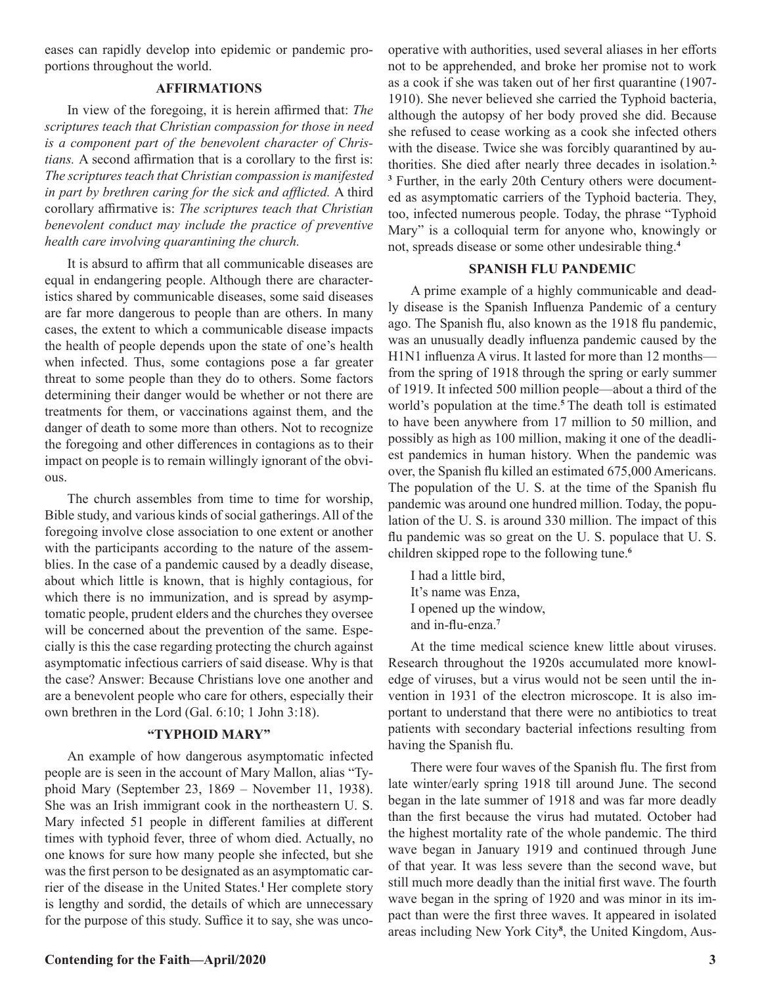eases can rapidly develop into epidemic or pandemic proportions throughout the world.

#### **AFFIRMATIONS**

In view of the foregoing, it is herein affirmed that: *The scriptures teach that Christian compassion for those in need is a component part of the benevolent character of Christians.* A second affirmation that is a corollary to the first is: *The scriptures teach that Christian compassion is manifested in part by brethren caring for the sick and afflicted.* A third corollary affirmative is: *The scriptures teach that Christian benevolent conduct may include the practice of preventive health care involving quarantining the church.* 

It is absurd to affirm that all communicable diseases are equal in endangering people. Although there are characteristics shared by communicable diseases, some said diseases are far more dangerous to people than are others. In many cases, the extent to which a communicable disease impacts the health of people depends upon the state of one's health when infected. Thus, some contagions pose a far greater threat to some people than they do to others. Some factors determining their danger would be whether or not there are treatments for them, or vaccinations against them, and the danger of death to some more than others. Not to recognize the foregoing and other differences in contagions as to their impact on people is to remain willingly ignorant of the obvious.

The church assembles from time to time for worship, Bible study, and various kinds of social gatherings. All of the foregoing involve close association to one extent or another with the participants according to the nature of the assemblies. In the case of a pandemic caused by a deadly disease, about which little is known, that is highly contagious, for which there is no immunization, and is spread by asymptomatic people, prudent elders and the churches they oversee will be concerned about the prevention of the same. Especially is this the case regarding protecting the church against asymptomatic infectious carriers of said disease. Why is that the case? Answer: Because Christians love one another and are a benevolent people who care for others, especially their own brethren in the Lord (Gal. 6:10; 1 John 3:18).

#### **"TYPHOID MARY"**

An example of how dangerous asymptomatic infected people are is seen in the account of Mary Mallon, alias "Typhoid Mary (September 23, 1869 – November 11, 1938). She was an Irish immigrant cook in the northeastern U. S. Mary infected 51 people in different families at different times with typhoid fever, three of whom died. Actually, no one knows for sure how many people she infected, but she was the first person to be designated as an asymptomatic carrier of the disease in the United States.**<sup>1</sup>**Her complete story is lengthy and sordid, the details of which are unnecessary for the purpose of this study. Suffice it to say, she was uncooperative with authorities, used several aliases in her efforts not to be apprehended, and broke her promise not to work as a cook if she was taken out of her first quarantine (1907- 1910). She never believed she carried the Typhoid bacteria, although the autopsy of her body proved she did. Because she refused to cease working as a cook she infected others with the disease. Twice she was forcibly quarantined by authorities. She died after nearly three decades in isolation.**2, <sup>3</sup>** Further, in the early 20th Century others were documented as asymptomatic carriers of the Typhoid bacteria. They, too, infected numerous people. Today, the phrase "Typhoid Mary" is a colloquial term for anyone who, knowingly or not, spreads disease or some other undesirable thing.**<sup>4</sup>**

#### **SPANISH FLU PANDEMIC**

A prime example of a highly communicable and deadly disease is the Spanish Influenza Pandemic of a century ago. The Spanish flu, also known as the 1918 flu pandemic, was an unusually deadly influenza pandemic caused by the H1N1 influenza A virus. It lasted for more than 12 months from the spring of 1918 through the spring or early summer of 1919. It infected 500 million people—about a third of the world's population at the time.**<sup>5</sup>**The death toll is estimated to have been anywhere from 17 million to 50 million, and possibly as high as 100 million, making it one of the deadliest pandemics in human history. When the pandemic was over, the Spanish flu killed an estimated 675,000 Americans. The population of the U. S. at the time of the Spanish flu pandemic was around one hundred million. Today, the population of the U. S. is around 330 million. The impact of this flu pandemic was so great on the U. S. populace that U. S. children skipped rope to the following tune.**<sup>6</sup>**

I had a little bird, It's name was Enza, I opened up the window, and in-flu-enza.**<sup>7</sup>**

At the time medical science knew little about viruses. Research throughout the 1920s accumulated more knowledge of viruses, but a virus would not be seen until the invention in 1931 of the electron microscope. It is also important to understand that there were no antibiotics to treat patients with secondary bacterial infections resulting from having the Spanish flu.

There were four waves of the Spanish flu. The first from late winter/early spring 1918 till around June. The second began in the late summer of 1918 and was far more deadly than the first because the virus had mutated. October had the highest mortality rate of the whole pandemic. The third wave began in January 1919 and continued through June of that year. It was less severe than the second wave, but still much more deadly than the initial first wave. The fourth wave began in the spring of 1920 and was minor in its impact than were the first three waves. It appeared in isolated areas including New York City**<sup>8</sup>** , the United Kingdom, Aus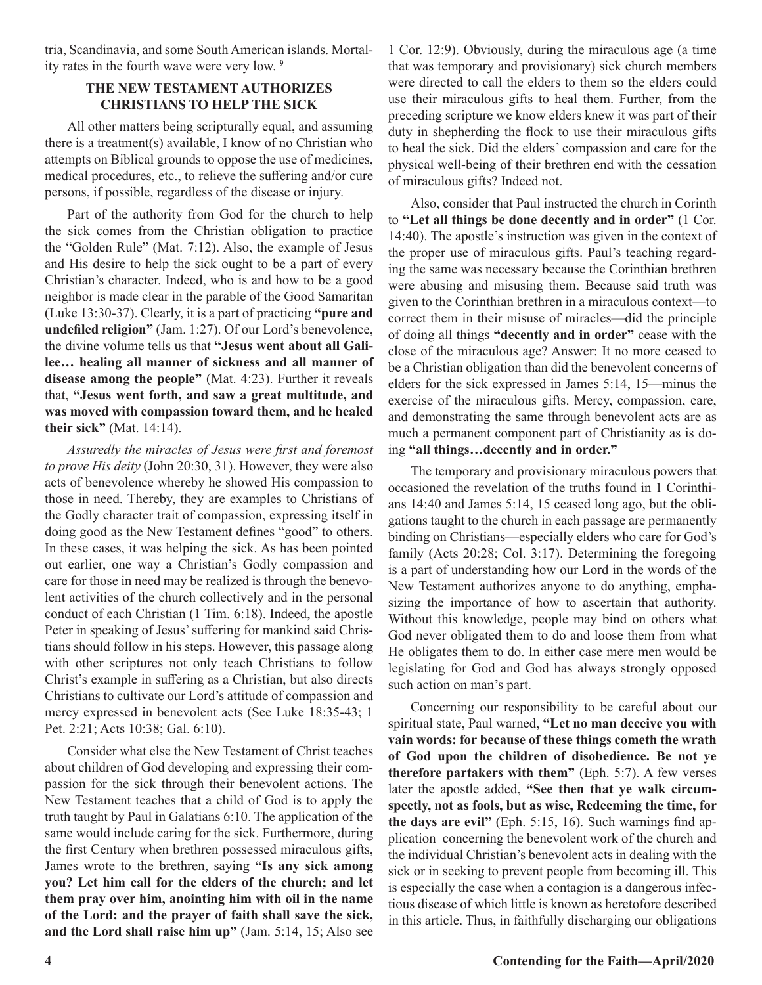tria, Scandinavia, and some South American islands. Mortality rates in the fourth wave were very low. **<sup>9</sup>**

#### **THE NEW TESTAMENT AUTHORIZES CHRISTIANS TO HELP THE SICK**

All other matters being scripturally equal, and assuming there is a treatment(s) available, I know of no Christian who attempts on Biblical grounds to oppose the use of medicines, medical procedures, etc., to relieve the suffering and/or cure persons, if possible, regardless of the disease or injury.

Part of the authority from God for the church to help the sick comes from the Christian obligation to practice the "Golden Rule" (Mat. 7:12). Also, the example of Jesus and His desire to help the sick ought to be a part of every Christian's character. Indeed, who is and how to be a good neighbor is made clear in the parable of the Good Samaritan (Luke 13:30-37). Clearly, it is a part of practicing **"pure and undefiled religion"** (Jam. 1:27). Of our Lord's benevolence, the divine volume tells us that **"Jesus went about all Galilee… healing all manner of sickness and all manner of disease among the people"** (Mat. 4:23). Further it reveals that, **"Jesus went forth, and saw a great multitude, and was moved with compassion toward them, and he healed their sick"** (Mat. 14:14).

*Assuredly the miracles of Jesus were first and foremost to prove His deity* (John 20:30, 31). However, they were also acts of benevolence whereby he showed His compassion to those in need. Thereby, they are examples to Christians of the Godly character trait of compassion, expressing itself in doing good as the New Testament defines "good" to others. In these cases, it was helping the sick. As has been pointed out earlier, one way a Christian's Godly compassion and care for those in need may be realized is through the benevolent activities of the church collectively and in the personal conduct of each Christian (1 Tim. 6:18). Indeed, the apostle Peter in speaking of Jesus' suffering for mankind said Christians should follow in his steps. However, this passage along with other scriptures not only teach Christians to follow Christ's example in suffering as a Christian, but also directs Christians to cultivate our Lord's attitude of compassion and mercy expressed in benevolent acts (See Luke 18:35-43; 1 Pet. 2:21; Acts 10:38; Gal. 6:10).

Consider what else the New Testament of Christ teaches about children of God developing and expressing their compassion for the sick through their benevolent actions. The New Testament teaches that a child of God is to apply the truth taught by Paul in Galatians 6:10. The application of the same would include caring for the sick. Furthermore, during the first Century when brethren possessed miraculous gifts, James wrote to the brethren, saying **"Is any sick among you? Let him call for the elders of the church; and let them pray over him, anointing him with oil in the name of the Lord: and the prayer of faith shall save the sick, and the Lord shall raise him up"** (Jam. 5:14, 15; Also see

1 Cor. 12:9). Obviously, during the miraculous age (a time that was temporary and provisionary) sick church members were directed to call the elders to them so the elders could use their miraculous gifts to heal them. Further, from the preceding scripture we know elders knew it was part of their duty in shepherding the flock to use their miraculous gifts to heal the sick. Did the elders' compassion and care for the physical well-being of their brethren end with the cessation of miraculous gifts? Indeed not.

Also, consider that Paul instructed the church in Corinth to **"Let all things be done decently and in order"** (1 Cor. 14:40). The apostle's instruction was given in the context of the proper use of miraculous gifts. Paul's teaching regarding the same was necessary because the Corinthian brethren were abusing and misusing them. Because said truth was given to the Corinthian brethren in a miraculous context—to correct them in their misuse of miracles—did the principle of doing all things **"decently and in order"** cease with the close of the miraculous age? Answer: It no more ceased to be a Christian obligation than did the benevolent concerns of elders for the sick expressed in James 5:14, 15—minus the exercise of the miraculous gifts. Mercy, compassion, care, and demonstrating the same through benevolent acts are as much a permanent component part of Christianity as is doing **"all things…decently and in order."**

The temporary and provisionary miraculous powers that occasioned the revelation of the truths found in 1 Corinthians 14:40 and James 5:14, 15 ceased long ago, but the obligations taught to the church in each passage are permanently binding on Christians—especially elders who care for God's family (Acts 20:28; Col. 3:17). Determining the foregoing is a part of understanding how our Lord in the words of the New Testament authorizes anyone to do anything, emphasizing the importance of how to ascertain that authority. Without this knowledge, people may bind on others what God never obligated them to do and loose them from what He obligates them to do. In either case mere men would be legislating for God and God has always strongly opposed such action on man's part.

Concerning our responsibility to be careful about our spiritual state, Paul warned, **"Let no man deceive you with vain words: for because of these things cometh the wrath of God upon the children of disobedience. Be not ye therefore partakers with them"** (Eph. 5:7). A few verses later the apostle added, **"See then that ye walk circumspectly, not as fools, but as wise, Redeeming the time, for the days are evil"** (Eph. 5:15, 16). Such warnings find application concerning the benevolent work of the church and the individual Christian's benevolent acts in dealing with the sick or in seeking to prevent people from becoming ill. This is especially the case when a contagion is a dangerous infectious disease of which little is known as heretofore described in this article. Thus, in faithfully discharging our obligations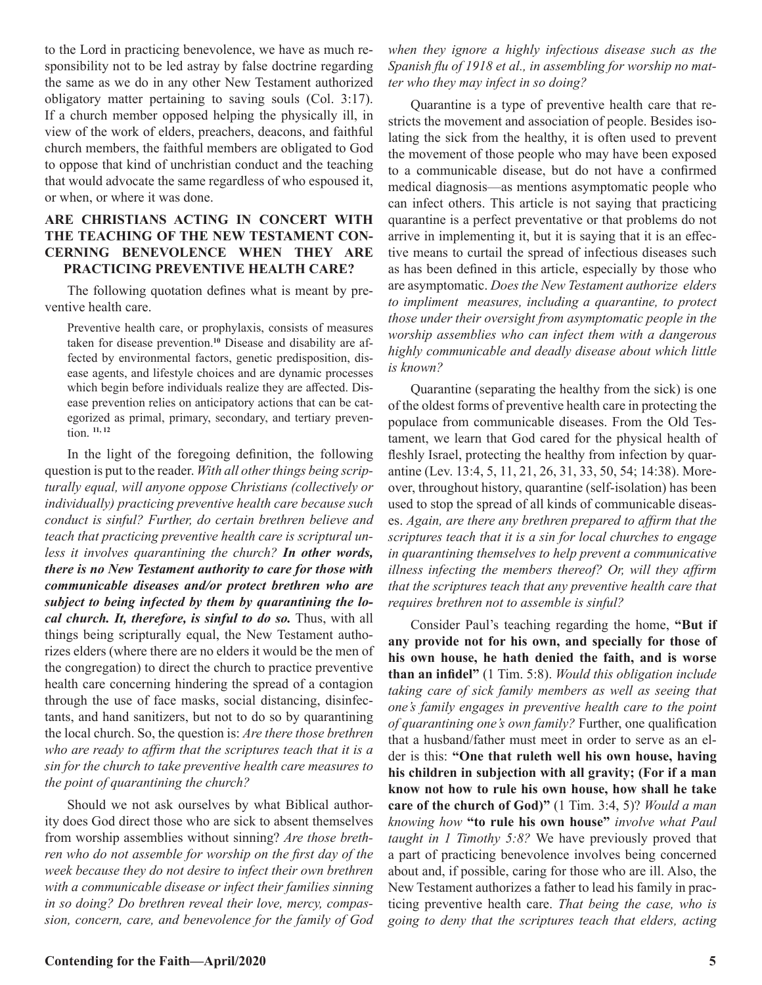to the Lord in practicing benevolence, we have as much responsibility not to be led astray by false doctrine regarding the same as we do in any other New Testament authorized obligatory matter pertaining to saving souls (Col. 3:17). If a church member opposed helping the physically ill, in view of the work of elders, preachers, deacons, and faithful church members, the faithful members are obligated to God to oppose that kind of unchristian conduct and the teaching that would advocate the same regardless of who espoused it, or when, or where it was done.

#### **ARE CHRISTIANS ACTING IN CONCERT WITH THE TEACHING OF THE NEW TESTAMENT CON-CERNING BENEVOLENCE WHEN THEY ARE PRACTICING PREVENTIVE HEALTH CARE?**

The following quotation defines what is meant by preventive health care.

Preventive health care, or prophylaxis, consists of measures taken for disease prevention.**10** Disease and disability are affected by environmental factors, genetic predisposition, disease agents, and lifestyle choices and are dynamic processes which begin before individuals realize they are affected. Disease prevention relies on anticipatory actions that can be categorized as primal, primary, secondary, and tertiary prevention. **11, 12**

In the light of the foregoing definition, the following question is put to the reader. *With all other things being scripturally equal, will anyone oppose Christians (collectively or individually) practicing preventive health care because such conduct is sinful? Further, do certain brethren believe and teach that practicing preventive health care is scriptural unless it involves quarantining the church? In other words, there is no New Testament authority to care for those with communicable diseases and/or protect brethren who are subject to being infected by them by quarantining the local church. It, therefore, is sinful to do so.* Thus, with all things being scripturally equal, the New Testament authorizes elders (where there are no elders it would be the men of the congregation) to direct the church to practice preventive health care concerning hindering the spread of a contagion through the use of face masks, social distancing, disinfectants, and hand sanitizers, but not to do so by quarantining the local church. So, the question is: *Are there those brethren who are ready to affirm that the scriptures teach that it is a sin for the church to take preventive health care measures to the point of quarantining the church?* 

Should we not ask ourselves by what Biblical authority does God direct those who are sick to absent themselves from worship assemblies without sinning? *Are those brethren who do not assemble for worship on the first day of the week because they do not desire to infect their own brethren with a communicable disease or infect their families sinning in so doing? Do brethren reveal their love, mercy, compassion, concern, care, and benevolence for the family of God*  *when they ignore a highly infectious disease such as the Spanish flu of 1918 et al., in assembling for worship no matter who they may infect in so doing?* 

Quarantine is a type of preventive health care that restricts the movement and association of people. Besides isolating the sick from the healthy, it is often used to prevent the movement of those people who may have been exposed to a communicable disease, but do not have a confirmed medical diagnosis—as mentions asymptomatic people who can infect others. This article is not saying that practicing quarantine is a perfect preventative or that problems do not arrive in implementing it, but it is saying that it is an effective means to curtail the spread of infectious diseases such as has been defined in this article, especially by those who are asymptomatic. *Does the New Testament authorize elders to impliment measures, including a quarantine, to protect those under their oversight from asymptomatic people in the worship assemblies who can infect them with a dangerous highly communicable and deadly disease about which little is known?* 

Quarantine (separating the healthy from the sick) is one of the oldest forms of preventive health care in protecting the populace from communicable diseases. From the Old Testament, we learn that God cared for the physical health of fleshly Israel, protecting the healthy from infection by quarantine (Lev. 13:4, 5, 11, 21, 26, 31, 33, 50, 54; 14:38). Moreover, throughout history, quarantine (self-isolation) has been used to stop the spread of all kinds of communicable diseases. *Again, are there any brethren prepared to affirm that the scriptures teach that it is a sin for local churches to engage in quarantining themselves to help prevent a communicative illness infecting the members thereof? Or, will they affirm that the scriptures teach that any preventive health care that requires brethren not to assemble is sinful?*

Consider Paul's teaching regarding the home, **"But if any provide not for his own, and specially for those of his own house, he hath denied the faith, and is worse than an infidel"** (1 Tim. 5:8). *Would this obligation include taking care of sick family members as well as seeing that one's family engages in preventive health care to the point of quarantining one's own family?* Further, one qualification that a husband/father must meet in order to serve as an elder is this: **"One that ruleth well his own house, having his children in subjection with all gravity; (For if a man know not how to rule his own house, how shall he take care of the church of God)"** (1 Tim. 3:4, 5)? *Would a man knowing how* **"to rule his own house"** *involve what Paul taught in 1 Timothy 5:8?* We have previously proved that a part of practicing benevolence involves being concerned about and, if possible, caring for those who are ill. Also, the New Testament authorizes a father to lead his family in practicing preventive health care. *That being the case, who is going to deny that the scriptures teach that elders, acting*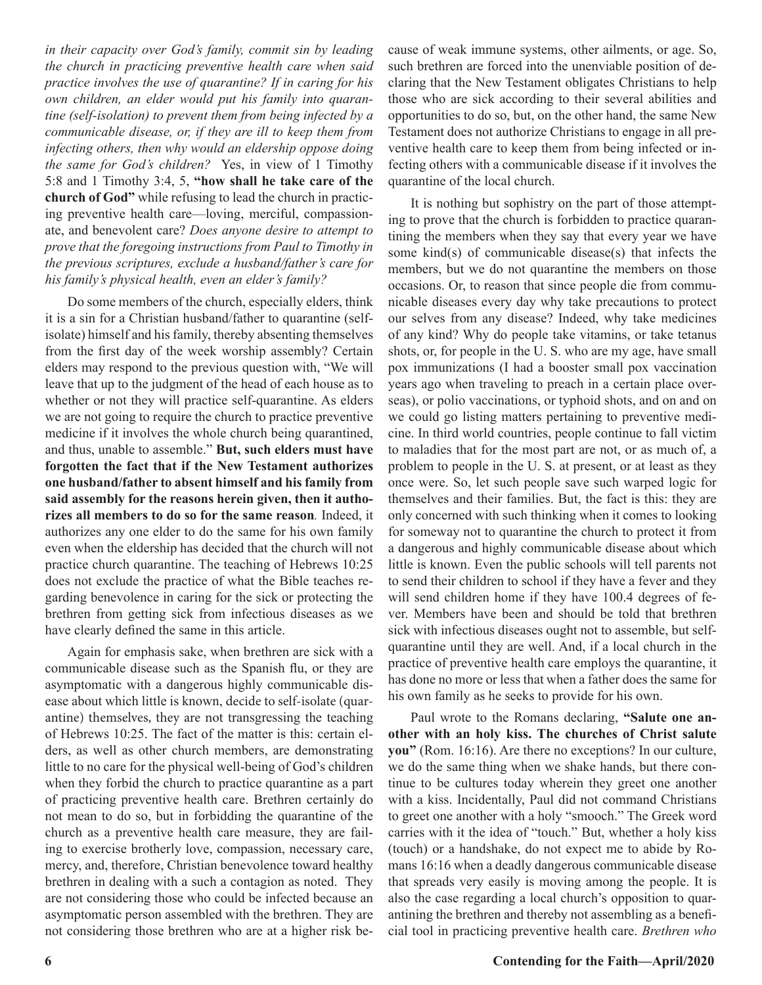*in their capacity over God's family, commit sin by leading the church in practicing preventive health care when said practice involves the use of quarantine? If in caring for his own children, an elder would put his family into quarantine (self-isolation) to prevent them from being infected by a communicable disease, or, if they are ill to keep them from infecting others, then why would an eldership oppose doing the same for God's children?* Yes, in view of 1 Timothy 5:8 and 1 Timothy 3:4, 5, **"how shall he take care of the church of God"** while refusing to lead the church in practicing preventive health care—loving, merciful, compassionate, and benevolent care? *Does anyone desire to attempt to prove that the foregoing instructions from Paul to Timothy in the previous scriptures, exclude a husband/father's care for his family's physical health, even an elder's family?*

Do some members of the church, especially elders, think it is a sin for a Christian husband/father to quarantine (selfisolate) himself and his family, thereby absenting themselves from the first day of the week worship assembly? Certain elders may respond to the previous question with, "We will leave that up to the judgment of the head of each house as to whether or not they will practice self-quarantine. As elders we are not going to require the church to practice preventive medicine if it involves the whole church being quarantined, and thus, unable to assemble." **But, such elders must have forgotten the fact that if the New Testament authorizes one husband/father to absent himself and his family from said assembly for the reasons herein given, then it authorizes all members to do so for the same reason***.* Indeed, it authorizes any one elder to do the same for his own family even when the eldership has decided that the church will not practice church quarantine. The teaching of Hebrews 10:25 does not exclude the practice of what the Bible teaches regarding benevolence in caring for the sick or protecting the brethren from getting sick from infectious diseases as we have clearly defined the same in this article.

Again for emphasis sake, when brethren are sick with a communicable disease such as the Spanish flu, or they are asymptomatic with a dangerous highly communicable disease about which little is known, decide to self-isolate (quarantine) themselves, they are not transgressing the teaching of Hebrews 10:25. The fact of the matter is this: certain elders, as well as other church members, are demonstrating little to no care for the physical well-being of God's children when they forbid the church to practice quarantine as a part of practicing preventive health care. Brethren certainly do not mean to do so, but in forbidding the quarantine of the church as a preventive health care measure, they are failing to exercise brotherly love, compassion, necessary care, mercy, and, therefore, Christian benevolence toward healthy brethren in dealing with a such a contagion as noted. They are not considering those who could be infected because an asymptomatic person assembled with the brethren. They are not considering those brethren who are at a higher risk because of weak immune systems, other ailments, or age. So, such brethren are forced into the unenviable position of declaring that the New Testament obligates Christians to help those who are sick according to their several abilities and opportunities to do so, but, on the other hand, the same New Testament does not authorize Christians to engage in all preventive health care to keep them from being infected or infecting others with a communicable disease if it involves the quarantine of the local church.

It is nothing but sophistry on the part of those attempting to prove that the church is forbidden to practice quarantining the members when they say that every year we have some kind(s) of communicable disease(s) that infects the members, but we do not quarantine the members on those occasions. Or, to reason that since people die from communicable diseases every day why take precautions to protect our selves from any disease? Indeed, why take medicines of any kind? Why do people take vitamins, or take tetanus shots, or, for people in the U. S. who are my age, have small pox immunizations (I had a booster small pox vaccination years ago when traveling to preach in a certain place overseas), or polio vaccinations, or typhoid shots, and on and on we could go listing matters pertaining to preventive medicine. In third world countries, people continue to fall victim to maladies that for the most part are not, or as much of, a problem to people in the U. S. at present, or at least as they once were. So, let such people save such warped logic for themselves and their families. But, the fact is this: they are only concerned with such thinking when it comes to looking for someway not to quarantine the church to protect it from a dangerous and highly communicable disease about which little is known. Even the public schools will tell parents not to send their children to school if they have a fever and they will send children home if they have 100.4 degrees of fever. Members have been and should be told that brethren sick with infectious diseases ought not to assemble, but selfquarantine until they are well. And, if a local church in the practice of preventive health care employs the quarantine, it has done no more or less that when a father does the same for his own family as he seeks to provide for his own.

Paul wrote to the Romans declaring, **"Salute one another with an holy kiss. The churches of Christ salute you"** (Rom. 16:16). Are there no exceptions? In our culture, we do the same thing when we shake hands, but there continue to be cultures today wherein they greet one another with a kiss. Incidentally, Paul did not command Christians to greet one another with a holy "smooch." The Greek word carries with it the idea of "touch." But, whether a holy kiss (touch) or a handshake, do not expect me to abide by Romans 16:16 when a deadly dangerous communicable disease that spreads very easily is moving among the people. It is also the case regarding a local church's opposition to quarantining the brethren and thereby not assembling as a beneficial tool in practicing preventive health care. *Brethren who*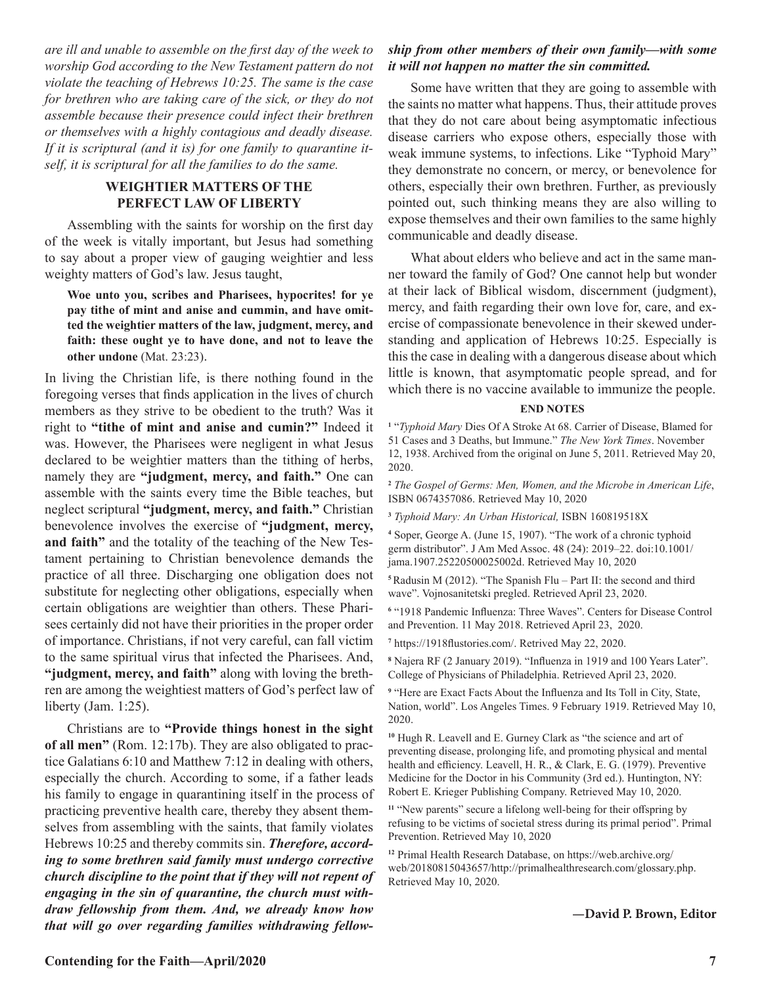*are ill and unable to assemble on the first day of the week to worship God according to the New Testament pattern do not violate the teaching of Hebrews 10:25. The same is the case for brethren who are taking care of the sick, or they do not assemble because their presence could infect their brethren or themselves with a highly contagious and deadly disease. If it is scriptural (and it is) for one family to quarantine itself, it is scriptural for all the families to do the same.* 

#### **WEIGHTIER MATTERS OF THE PERFECT LAW OF LIBERTY**

Assembling with the saints for worship on the first day of the week is vitally important, but Jesus had something to say about a proper view of gauging weightier and less weighty matters of God's law. Jesus taught,

**Woe unto you, scribes and Pharisees, hypocrites! for ye pay tithe of mint and anise and cummin, and have omitted the weightier matters of the law, judgment, mercy, and faith: these ought ye to have done, and not to leave the other undone** (Mat. 23:23).

In living the Christian life, is there nothing found in the foregoing verses that finds application in the lives of church members as they strive to be obedient to the truth? Was it right to **"tithe of mint and anise and cumin?"** Indeed it was. However, the Pharisees were negligent in what Jesus declared to be weightier matters than the tithing of herbs, namely they are **"judgment, mercy, and faith."** One can assemble with the saints every time the Bible teaches, but neglect scriptural **"judgment, mercy, and faith."** Christian benevolence involves the exercise of **"judgment, mercy, and faith"** and the totality of the teaching of the New Testament pertaining to Christian benevolence demands the practice of all three. Discharging one obligation does not substitute for neglecting other obligations, especially when certain obligations are weightier than others. These Pharisees certainly did not have their priorities in the proper order of importance. Christians, if not very careful, can fall victim to the same spiritual virus that infected the Pharisees. And, **"judgment, mercy, and faith"** along with loving the brethren are among the weightiest matters of God's perfect law of liberty (Jam. 1:25).

Christians are to **"Provide things honest in the sight of all men"** (Rom. 12:17b). They are also obligated to practice Galatians 6:10 and Matthew 7:12 in dealing with others, especially the church. According to some, if a father leads his family to engage in quarantining itself in the process of practicing preventive health care, thereby they absent themselves from assembling with the saints, that family violates Hebrews 10:25 and thereby commits sin. *Therefore, according to some brethren said family must undergo corrective church discipline to the point that if they will not repent of engaging in the sin of quarantine, the church must withdraw fellowship from them. And, we already know how that will go over regarding families withdrawing fellow-*

#### *ship from other members of their own family—with some it will not happen no matter the sin committed.*

Some have written that they are going to assemble with the saints no matter what happens. Thus, their attitude proves that they do not care about being asymptomatic infectious disease carriers who expose others, especially those with weak immune systems, to infections. Like "Typhoid Mary" they demonstrate no concern, or mercy, or benevolence for others, especially their own brethren. Further, as previously pointed out, such thinking means they are also willing to expose themselves and their own families to the same highly communicable and deadly disease.

What about elders who believe and act in the same manner toward the family of God? One cannot help but wonder at their lack of Biblical wisdom, discernment (judgment), mercy, and faith regarding their own love for, care, and exercise of compassionate benevolence in their skewed understanding and application of Hebrews 10:25. Especially is this the case in dealing with a dangerous disease about which little is known, that asymptomatic people spread, and for which there is no vaccine available to immunize the people.

#### **END NOTES**

**1** "*Typhoid Mary* Dies Of A Stroke At 68. Carrier of Disease, Blamed for 51 Cases and 3 Deaths, but Immune." *The New York Times*. November 12, 1938. Archived from the original on June 5, 2011. Retrieved May 20, 2020.

**<sup>2</sup>** *The Gospel of Germs: Men, Women, and the Microbe in American Life*, ISBN 0674357086. Retrieved May 10, 2020

**<sup>3</sup>** *Typhoid Mary: An Urban Historical,* ISBN 160819518X

**4** Soper, George A. (June 15, 1907). "The work of a chronic typhoid germ distributor". J Am Med Assoc. 48 (24): 2019–22. doi:10.1001/ jama.1907.25220500025002d. Retrieved May 10, 2020

**<sup>5</sup>**Radusin M (2012). "The Spanish Flu – Part II: the second and third wave". Vojnosanitetski pregled. Retrieved April 23, 2020.

**6** "1918 Pandemic Influenza: Three Waves". Centers for Disease Control and Prevention. 11 May 2018. Retrieved April 23, 2020.

**7** https://1918flustories.com/. Retrived May 22, 2020.

**8** Najera RF (2 January 2019). "Influenza in 1919 and 100 Years Later". College of Physicians of Philadelphia. Retrieved April 23, 2020.

<sup>9</sup> "Here are Exact Facts About the Influenza and Its Toll in City, State, Nation, world". Los Angeles Times. 9 February 1919. Retrieved May 10, 2020.

**<sup>10</sup>** Hugh R. Leavell and E. Gurney Clark as "the science and art of preventing disease, prolonging life, and promoting physical and mental health and efficiency. Leavell, H. R., & Clark, E. G. (1979). Preventive Medicine for the Doctor in his Community (3rd ed.). Huntington, NY: Robert E. Krieger Publishing Company. Retrieved May 10, 2020.

**<sup>11</sup>** "New parents" secure a lifelong well-being for their offspring by refusing to be victims of societal stress during its primal period". Primal Prevention. Retrieved May 10, 2020

**<sup>12</sup>** Primal Health Research Database, on https://web.archive.org/ web/20180815043657/http://primalhealthresearch.com/glossary.php. Retrieved May 10, 2020.

**—David P. Brown, Editor**